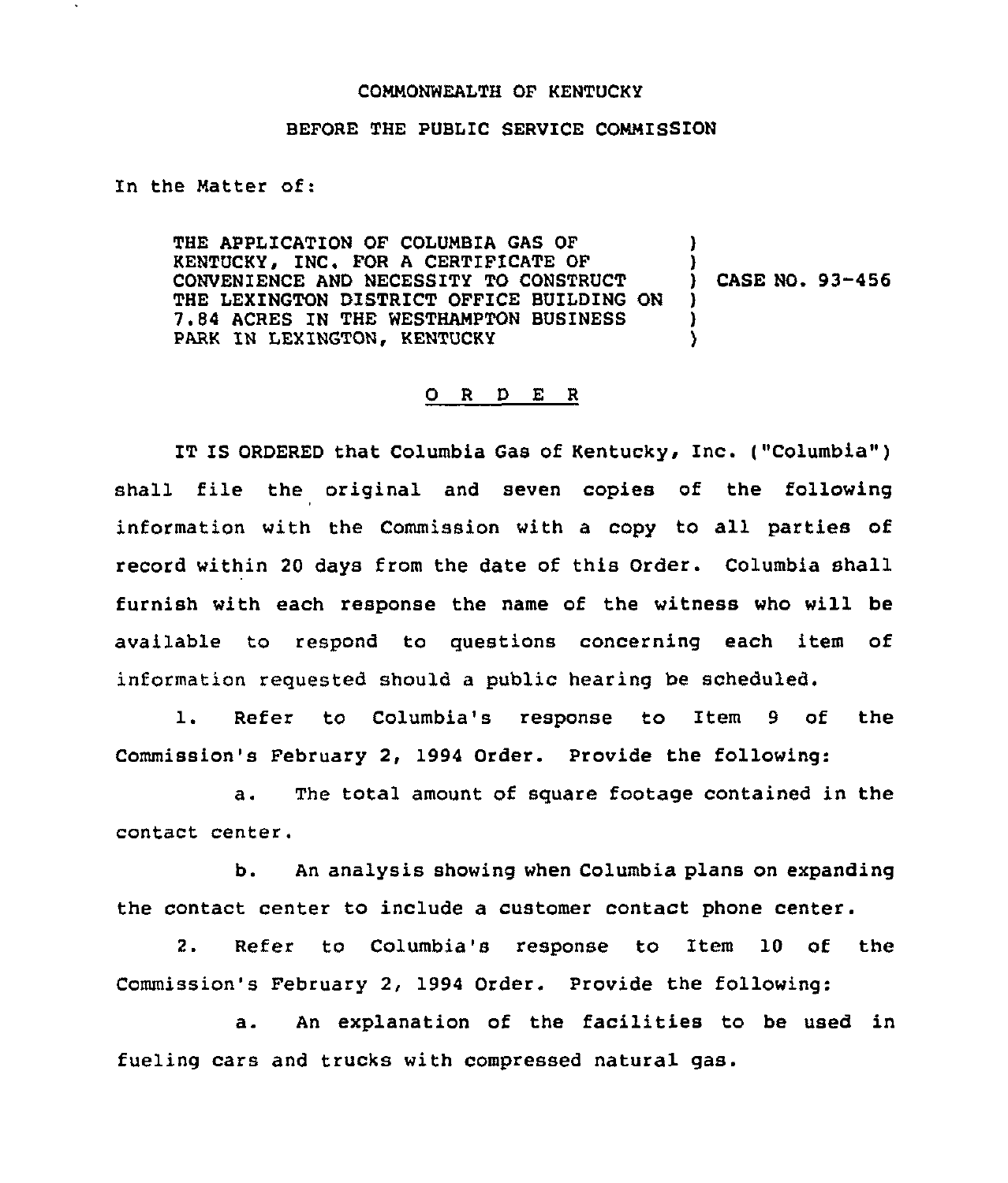## COMMONWEALTH OF KENTUCKY

## BEFORE THE PUBLIC SERVICE COMMISSION

In the Matter of:

THE APPLICATION OF COLUMBIA GAS OF KENTUCKY, INC. FOR A CERTIFICATE OF CONVENIENCE AND NECESSITY TO CONSTRUCT THE LEXINGTON DISTRICT OFFICE BUILDING ON 7.84 ACRES IN THE WESTHAMPTON BUSINESS PARK IN LEXINGTON, KENTUCKY ) ) ) CASE NO. 93-456 ) ) )

## 0 <sup>R</sup> <sup>D</sup> E <sup>R</sup>

IT IS ORDERED that Columbia Gas of Kentucky, Inc. ("Columbia") shall file the original and seven copies of the following information with the Commission with a copy to all parties of record within 20 days from the date of this Order. Columbia shall furnish with each response the name of the witness who will be available to respond to guestions concerning each item of information requested should a public hearing be scheduled.

1. Refer to Columbia's response to Item <sup>9</sup> of the Commission's February 2, 1994 Order. Provide the following:

a. The total amount of sguare footage contained in the contact center.

b. An analysis showing when Columbia plans on expanding the contact center to include a customer contact phone center.

2. Refer to Columbia's response to Item 10 of the Commission's February 2, 1994 Order. Provide the following:

a. An explanation of the facilities to be used in fueling cars and trucks with compressed natural gas.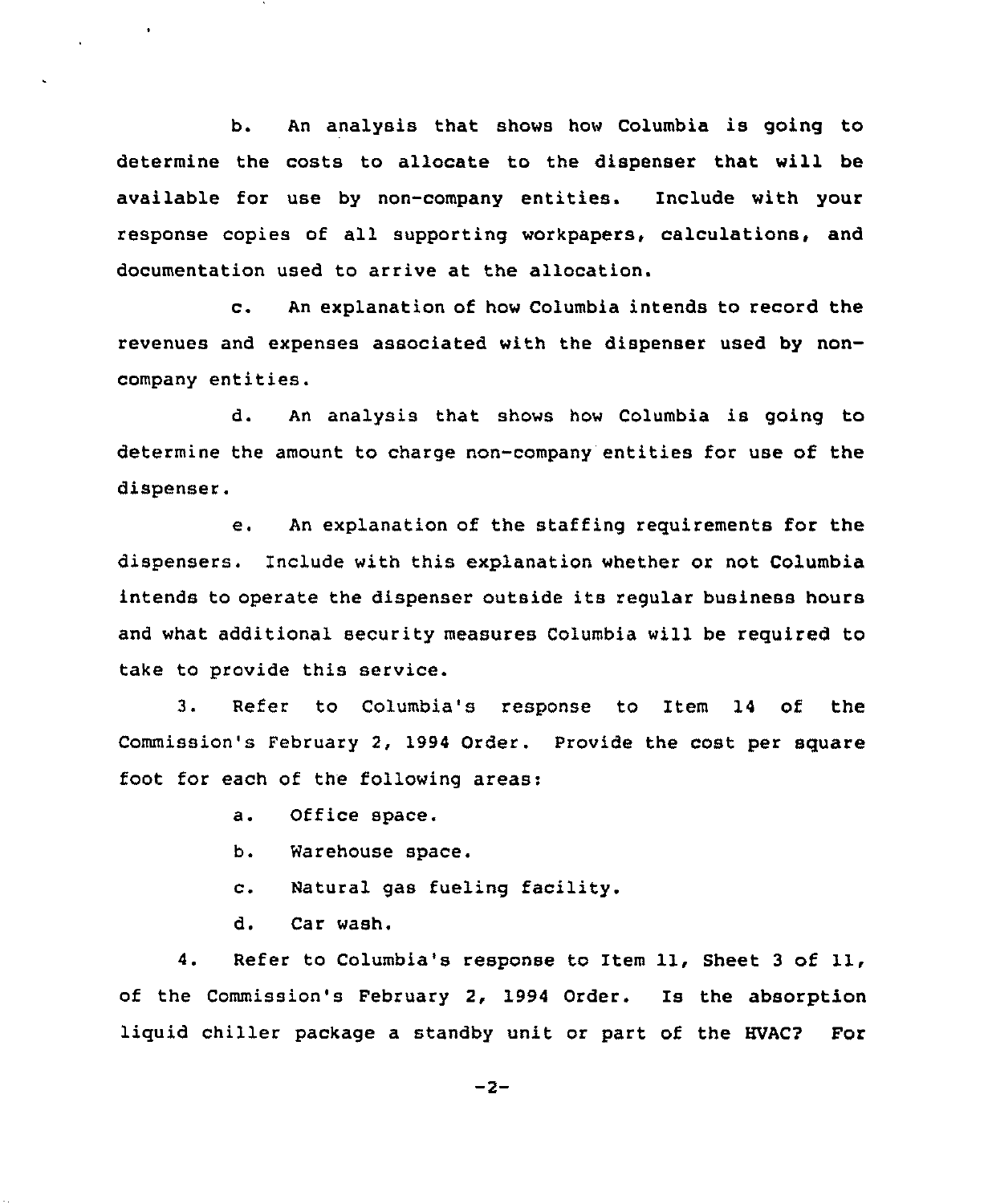b. An analysis that shows how Columbia is going to determine the costs to allocate to the dispenser that will be available for use by non-company entities. Include with your response copies of all supporting workpapers, calculations, and documentation used to arrive at the allocation.

c. An explanation of how Columbia intends to record the revenues and expenses associated with the dispenser used by noncompany entities.

d. An analysis that shows how Columbia is going to determine the amount to charge non-company entities for use of the dispenser.

e. An explanation of the staffing reguirements for the dispensers. Include with this explanation whether or not Columbia intends to operate the dispenser outside its regular business hours and what additional security measures Columbia will be reguired to take to provide this service.

3. Refer to Columbia's response to Item 14 of the Commission's February 2, 1994 Order. Provide the cost per square foot for each of the following areas:

a. Office space.

 $\bullet$ 

b. Warehouse space.

c. Natural gas fueling facility.

d. Car wash.

4. Refer to Columbia's response to Item 11, Sheet <sup>3</sup> of 11, of the Commission's February 2, 1994 Order. Is the absorption liguid chiller package a standby unit or part of the HVAC? For

 $-2-$